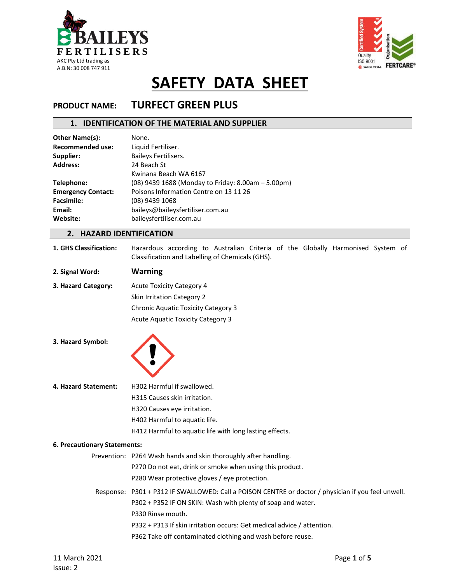



### **PRODUCT NAME: TURFECT GREEN PLUS**

### **1. IDENTIFICATION OF THE MATERIAL AND SUPPLIER**

| <b>Other Name(s):</b>     | None.                                              |
|---------------------------|----------------------------------------------------|
| <b>Recommended use:</b>   | Liquid Fertiliser.                                 |
| Supplier:                 | <b>Baileys Fertilisers.</b>                        |
| <b>Address:</b>           | 24 Beach St                                        |
|                           | Kwinana Beach WA 6167                              |
| Telephone:                | (08) 9439 1688 (Monday to Friday: 8.00am - 5.00pm) |
| <b>Emergency Contact:</b> | Poisons Information Centre on 13 11 26             |
| <b>Facsimile:</b>         | (08) 9439 1068                                     |
| Email:                    | baileys@baileysfertiliser.com.au                   |
| Website:                  | baileysfertiliser.com.au                           |
|                           |                                                    |

### **2. HAZARD IDENTIFICATION**

- **1. GHS Classification:** Hazardous according to Australian Criteria of the Globally Harmonised System of Classification and Labelling of Chemicals (GHS).
- **2. Signal Word: Warning**

**3. Hazard Category:** Acute Toxicity Category 4 Skin Irritation Category 2 Chronic Aquatic Toxicity Category 3 Acute Aquatic Toxicity Category 3

**3. Hazard Symbol:** 



**4. Hazard Statement:** H302 Harmful if swallowed.

H315 Causes skin irritation.

H320 Causes eye irritation.

H402 Harmful to aquatic life.

H412 Harmful to aquatic life with long lasting effects.

#### **6. Precautionary Statements:**

Prevention: P264 Wash hands and skin thoroughly after handling.

P270 Do not eat, drink or smoke when using this product.

P280 Wear protective gloves / eye protection.

Response: P301 + P312 IF SWALLOWED: Call a POISON CENTRE or doctor / physician if you feel unwell. P302 + P352 IF ON SKIN: Wash with plenty of soap and water. P330 Rinse mouth. P332 + P313 If skin irritation occurs: Get medical advice / attention.

P362 Take off contaminated clothing and wash before reuse.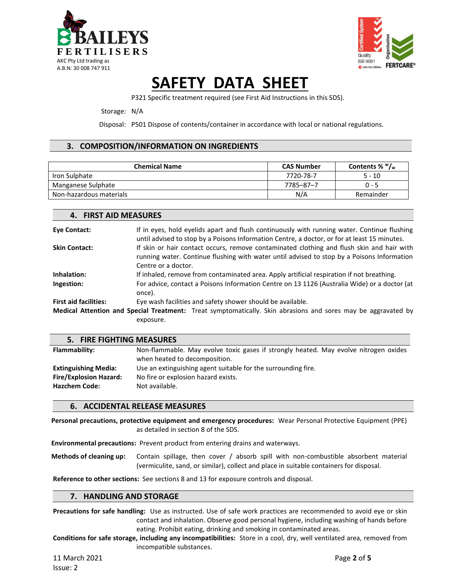



P321 Specific treatment required (see First Aid Instructions in this SDS).

#### Storage: N/A

**4. FIRST AID MEASURES**

Disposal: P501 Dispose of contents/container in accordance with local or national regulations.

### **3. COMPOSITION/INFORMATION ON INGREDIENTS**

| <b>Chemical Name</b>    | <b>CAS Number</b> | Contents % $W_{w}$ |
|-------------------------|-------------------|--------------------|
| Iron Sulphate           | 7720-78-7         | $5 - 10$           |
| Manganese Sulphate      | 7785-87-7         | $0 - 5$            |
| Non-hazardous materials | N/A               | Remainder          |

| TI IINJI AIP IIILAJUINE.     |                                                                                                                                                                                                                |
|------------------------------|----------------------------------------------------------------------------------------------------------------------------------------------------------------------------------------------------------------|
| <b>Eye Contact:</b>          | If in eyes, hold eyelids apart and flush continuously with running water. Continue flushing<br>until advised to stop by a Poisons Information Centre, a doctor, or for at least 15 minutes.                    |
| <b>Skin Contact:</b>         | If skin or hair contact occurs, remove contaminated clothing and flush skin and hair with<br>running water. Continue flushing with water until advised to stop by a Poisons Information<br>Centre or a doctor. |
| Inhalation:                  | If inhaled, remove from contaminated area. Apply artificial respiration if not breathing.                                                                                                                      |
| Ingestion:                   | For advice, contact a Poisons Information Centre on 13 1126 (Australia Wide) or a doctor (at<br>once).                                                                                                         |
| <b>First aid facilities:</b> | Eye wash facilities and safety shower should be available.                                                                                                                                                     |
|                              | <b>Medical Attention and Special Treatment:</b> Treat symptomatically. Skin abrasions and sores may be aggravated by                                                                                           |
|                              | exposure.                                                                                                                                                                                                      |

| 5. FIRE FIGHTING MEASURES     |                                                                                      |  |
|-------------------------------|--------------------------------------------------------------------------------------|--|
| Flammability:                 | Non-flammable. May evolve toxic gases if strongly heated. May evolve nitrogen oxides |  |
|                               | when heated to decomposition.                                                        |  |
| <b>Extinguishing Media:</b>   | Use an extinguishing agent suitable for the surrounding fire.                        |  |
| <b>Fire/Explosion Hazard:</b> | No fire or explosion hazard exists.                                                  |  |
| <b>Hazchem Code:</b>          | Not available.                                                                       |  |

### **6. ACCIDENTAL RELEASE MEASURES**

**Personal precautions, protective equipment and emergency procedures:** Wear Personal Protective Equipment (PPE) as detailed in section 8 of the SDS.

**Environmental precautions:** Prevent product from entering drains and waterways.

**Methods of cleaning up:** Contain spillage, then cover / absorb spill with non-combustible absorbent material (vermiculite, sand, or similar), collect and place in suitable containers for disposal.

**Reference to other sections:** See sections 8 and 13 for exposure controls and disposal.

### **7. HANDLING AND STORAGE**

**Precautions for safe handling:** Use as instructed. Use of safe work practices are recommended to avoid eye or skin contact and inhalation. Observe good personal hygiene, including washing of hands before eating. Prohibit eating, drinking and smoking in contaminated areas.

**Conditions for safe storage, including any incompatibilities:** Store in a cool, dry, well ventilated area, removed from incompatible substances.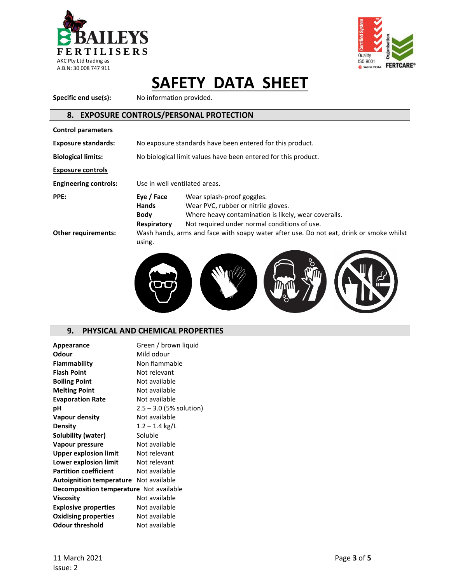



Specific end use(s): No information provided.

### **8. EXPOSURE CONTROLS/PERSONAL PROTECTION**

| <b>Control parameters</b>    |                                                                                                                                                                                                                                |  |
|------------------------------|--------------------------------------------------------------------------------------------------------------------------------------------------------------------------------------------------------------------------------|--|
| <b>Exposure standards:</b>   | No exposure standards have been entered for this product.                                                                                                                                                                      |  |
| <b>Biological limits:</b>    | No biological limit values have been entered for this product.                                                                                                                                                                 |  |
| <b>Exposure controls</b>     |                                                                                                                                                                                                                                |  |
| <b>Engineering controls:</b> | Use in well ventilated areas.                                                                                                                                                                                                  |  |
| PPE:                         | Eye / Face<br>Wear splash-proof goggles.<br><b>Hands</b><br>Wear PVC, rubber or nitrile gloves.<br>Where heavy contamination is likely, wear coveralls.<br>Body<br>Not required under normal conditions of use.<br>Respiratory |  |
| <b>Other requirements:</b>   | Wash hands, arms and face with soapy water after use. Do not eat, drink or smoke whilst<br>using.                                                                                                                              |  |



### **9. PHYSICAL AND CHEMICAL PROPERTIES**

| Appearance                                     | Green / brown liquid      |
|------------------------------------------------|---------------------------|
| Odour                                          | Mild odour                |
| Flammability                                   | Non flammable             |
| <b>Flash Point</b>                             | Not relevant              |
| <b>Boiling Point</b>                           | Not available             |
| <b>Melting Point</b>                           | Not available             |
| <b>Evaporation Rate</b>                        | Not available             |
| рH                                             | $2.5 - 3.0$ (5% solution) |
| Vapour density                                 | Not available             |
| <b>Density</b>                                 | $1.2 - 1.4$ kg/L          |
| Solubility (water)                             | Soluble                   |
| <b>Vapour pressure</b>                         | Not available             |
| <b>Upper explosion limit</b>                   | Not relevant              |
| Lower explosion limit                          | Not relevant              |
| <b>Partition coefficient</b>                   | Not available             |
| <b>Autoignition temperature</b> Not available  |                           |
| <b>Decomposition temperature</b> Not available |                           |
| <b>Viscosity</b>                               | Not available             |
| <b>Explosive properties</b>                    | Not available             |
| <b>Oxidising properties</b>                    | Not available             |
| <b>Odour threshold</b>                         | Not available             |
|                                                |                           |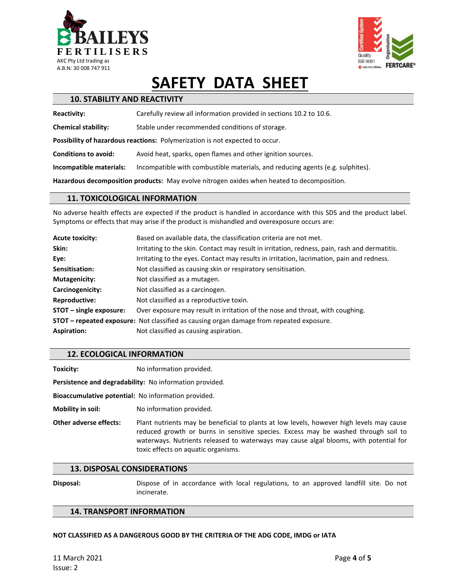



| <b>10. STABILITY AND REACTIVITY</b>                                                        |                                                                                |  |
|--------------------------------------------------------------------------------------------|--------------------------------------------------------------------------------|--|
| <b>Reactivity:</b>                                                                         | Carefully review all information provided in sections 10.2 to 10.6.            |  |
| <b>Chemical stability:</b>                                                                 | Stable under recommended conditions of storage.                                |  |
| Possibility of hazardous reactions: Polymerization is not expected to occur.               |                                                                                |  |
| <b>Conditions to avoid:</b>                                                                | Avoid heat, sparks, open flames and other ignition sources.                    |  |
| Incompatible materials:                                                                    | Incompatible with combustible materials, and reducing agents (e.g. sulphites). |  |
| Hazardous decomposition products: May evolve nitrogen oxides when heated to decomposition. |                                                                                |  |

### **11. TOXICOLOGICAL INFORMATION**

No adverse health effects are expected if the product is handled in accordance with this SDS and the product label. Symptoms or effects that may arise if the product is mishandled and overexposure occurs are:

| <b>Acute toxicity:</b>    | Based on available data, the classification criteria are not met.                               |
|---------------------------|-------------------------------------------------------------------------------------------------|
| Skin:                     | Irritating to the skin. Contact may result in irritation, redness, pain, rash and dermatitis.   |
| Eye:                      | Irritating to the eyes. Contact may results in irritation, lacrimation, pain and redness.       |
| Sensitisation:            | Not classified as causing skin or respiratory sensitisation.                                    |
| <b>Mutagenicity:</b>      | Not classified as a mutagen.                                                                    |
| Carcinogenicity:          | Not classified as a carcinogen.                                                                 |
| <b>Reproductive:</b>      | Not classified as a reproductive toxin.                                                         |
| $STOT$ – single exposure: | Over exposure may result in irritation of the nose and throat, with coughing.                   |
|                           | <b>STOT – repeated exposure:</b> Not classified as causing organ damage from repeated exposure. |
| <b>Aspiration:</b>        | Not classified as causing aspiration.                                                           |

### **12. ECOLOGICAL INFORMATION**

**Toxicity:** No information provided.

**Persistence and degradability:** No information provided.

**Bioaccumulative potential:** No information provided.

**Mobility in soil:** No information provided.

**Other adverse effects:** Plant nutrients may be beneficial to plants at low levels, however high levels may cause reduced growth or burns in sensitive species. Excess may be washed through soil to waterways. Nutrients released to waterways may cause algal blooms, with potential for toxic effects on aquatic organisms.

#### **13. DISPOSAL CONSIDERATIONS**

**Disposal:** Dispose of in accordance with local regulations, to an approved landfill site. Do not incinerate.

### **14. TRANSPORT INFORMATION**

#### **NOT CLASSIFIED AS A DANGEROUS GOOD BY THE CRITERIA OF THE ADG CODE, IMDG or IATA**